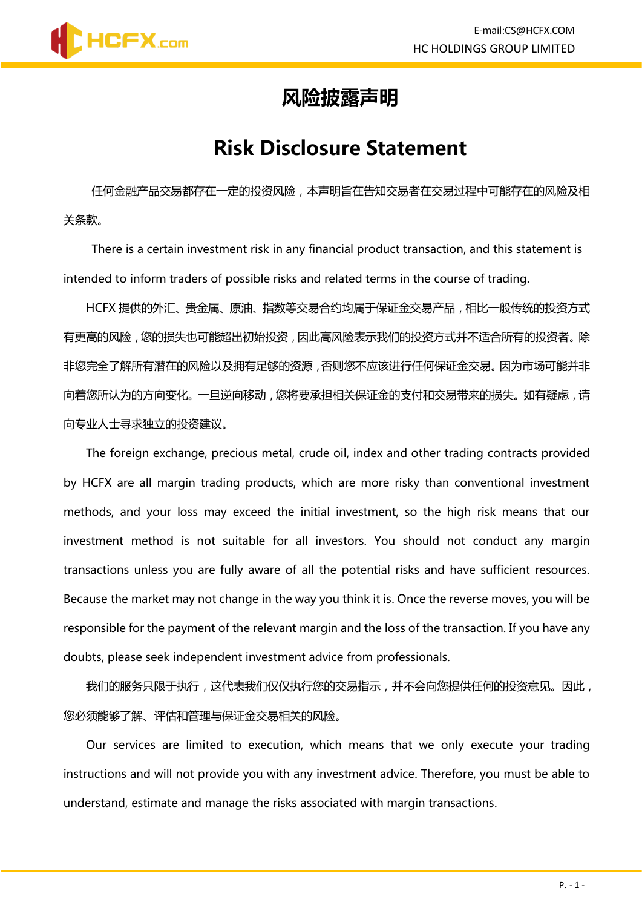

#### **风险披露声明**

#### **Risk Disclosure Statement**

任何金融产品交易都存在一定的投资风险,本声明旨在告知交易者在交易过程中可能存在的风险及相 关条款。

There is a certain investment risk in any financial product transaction, and this statement is intended to inform traders of possible risks and related terms in the course of trading.

HCFX 提供的外汇、贵金属、原油、指数等交易合约均属于保证金交易产品,相比一般传统的投资方式 有更高的风险,您的损失也可能超出初始投资,因此高风险表示我们的投资方式并不适合所有的投资者。除 非您完全了解所有潜在的风险以及拥有足够的资源,否则您不应该进行任何保证金交易。因为市场可能并非 向着您所认为的方向变化。一旦逆向移动,您将要承担相关保证金的支付和交易带来的损失。如有疑虑,请 向专业人士寻求独立的投资建议。

The foreign exchange, precious metal, crude oil, index and other trading contracts provided by HCFX are all margin trading products, which are more risky than conventional investment methods, and your loss may exceed the initial investment, so the high risk means that our investment method is not suitable for all investors. You should not conduct any margin transactions unless you are fully aware of all the potential risks and have sufficient resources. Because the market may not change in the way you think it is. Once the reverse moves, you will be responsible for the payment of the relevant margin and the loss of the transaction. If you have any doubts, please seek independent investment advice from professionals.

我们的服务只限于执行,这代表我们仅仅执行您的交易指示,并不会向您提供任何的投资意见。因此, 您必须能够了解、评估和管理与保证金交易相关的风险。

Our services are limited to execution, which means that we only execute your trading instructions and will not provide you with any investment advice. Therefore, you must be able to understand, estimate and manage the risks associated with margin transactions.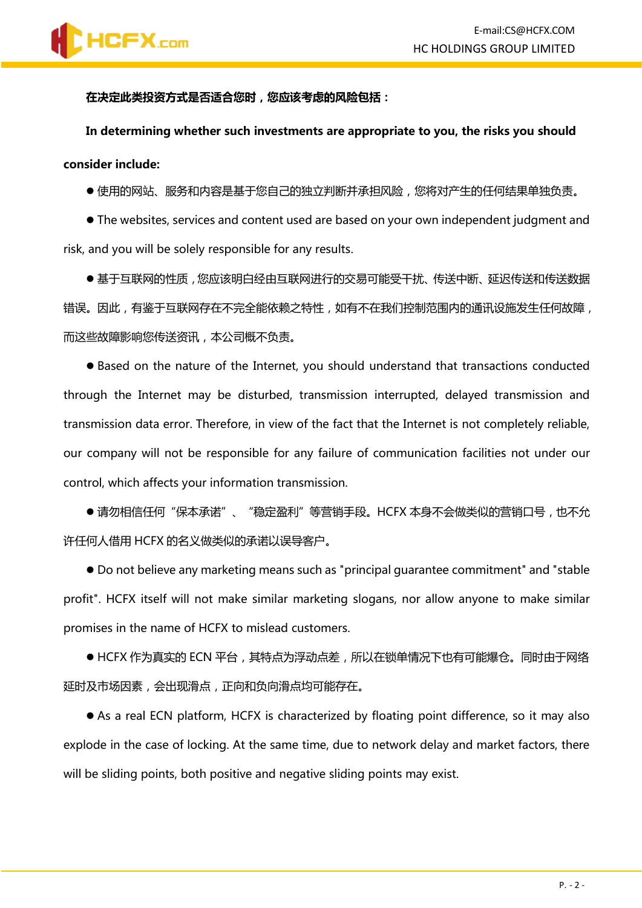**在决定此类投资方式是否适合您时,您应该考虑的风险包括:**

**In determining whether such investments are appropriate to you, the risks you should consider include:**

● 使用的网站、服务和内容是基于您自己的独立判断并承担风险, 您将对产生的任何结果单独负责。

⚫ The websites, services and content used are based on your own independent judgment and risk, and you will be solely responsible for any results.

●基于互联网的性质,您应该明白经由互联网进行的交易可能受干扰、传送中断、延迟传送和传送数据 错误。因此,有鉴于互联网存在不完全能依赖之特性,如有不在我们控制范围内的通讯设施发生任何故障, 而这些故障影响您传送资讯,本公司概不负责。

⚫ Based on the nature of the Internet, you should understand that transactions conducted through the Internet may be disturbed, transmission interrupted, delayed transmission and transmission data error. Therefore, in view of the fact that the Internet is not completely reliable, our company will not be responsible for any failure of communication facilities not under our control, which affects your information transmission.

● 请勿相信任何"保本承诺"、"稳定盈利"等营销手段。HCFX 本身不会做类似的营销口号, 也不允 许任何人借用 HCFX 的名义做类似的承诺以误导客户。

⚫ Do not believe any marketing means such as "principal guarantee commitment" and "stable profit". HCFX itself will not make similar marketing slogans, nor allow anyone to make similar promises in the name of HCFX to mislead customers.

● HCFX 作为真实的 ECN 平台,其特点为浮动点差,所以在锁单情况下也有可能爆仓。同时由于网络 延时及市场因素,会出现滑点,正向和负向滑点均可能存在。

● As a real ECN platform, HCFX is characterized by floating point difference, so it may also explode in the case of locking. At the same time, due to network delay and market factors, there will be sliding points, both positive and negative sliding points may exist.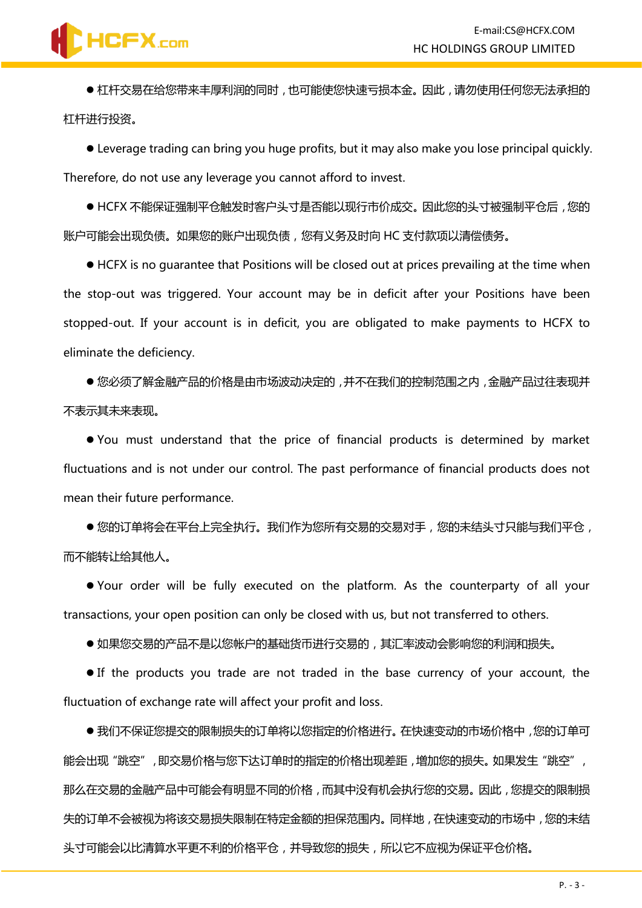## **HCFX.com**

● 杠杆交易在给您带来丰厚利润的同时, 也可能使您快速亏损本金。因此, 请勿使用任何您无法承担的 杠杆进行投资。

⚫ Leverage trading can bring you huge profits, but it may also make you lose principal quickly. Therefore, do not use any leverage you cannot afford to invest.

● HCFX 不能保证强制平仓触发时客户头寸是否能以现行市价成交。因此您的头寸被强制平仓后,您的 账户可能会出现负债。如果您的账户出现负债,您有义务及时向 HC 支付款项以清偿债务。

⚫ HCFX is no guarantee that Positions will be closed out at prices prevailing at the time when the stop-out was triggered. Your account may be in deficit after your Positions have been stopped-out. If your account is in deficit, you are obligated to make payments to HCFX to eliminate the deficiency.

● 您必须了解金融产品的价格是由市场波动决定的 ,并不在我们的控制范围之内 ,金融产品过往表现并 不表示其未来表现。

⚫ You must understand that the price of financial products is determined by market fluctuations and is not under our control. The past performance of financial products does not mean their future performance.

● 您的订单将会在平台上完全执行。我们作为您所有交易的交易对手, 您的未结头寸只能与我们平仓, 而不能转让给其他人。

⚫ Your order will be fully executed on the platform. As the counterparty of all your transactions, your open position can only be closed with us, but not transferred to others.

●如果您交易的产品不是以您帐户的基础货币讲行交易的,其汇率波动会影响您的利润和损失。

⚫ If the products you trade are not traded in the base currency of your account, the fluctuation of exchange rate will affect your profit and loss.

●我们不保证您提交的限制损失的订单将以您指定的价格进行。在快速变动的市场价格中,您的订单可 能会出现"跳空",即交易价格与您下达订单时的指定的价格出现差距,增加您的损失。如果发生"跳空", 那么在交易的金融产品中可能会有明显不同的价格,而其中没有机会执行您的交易。因此,您提交的限制损 失的订单不会被视为将该交易损失限制在特定金额的担保范围内。同样地,在快速变动的市场中,您的未结 头寸可能会以比清算水平更不利的价格平仓,并导致您的损失,所以它不应视为保证平仓价格。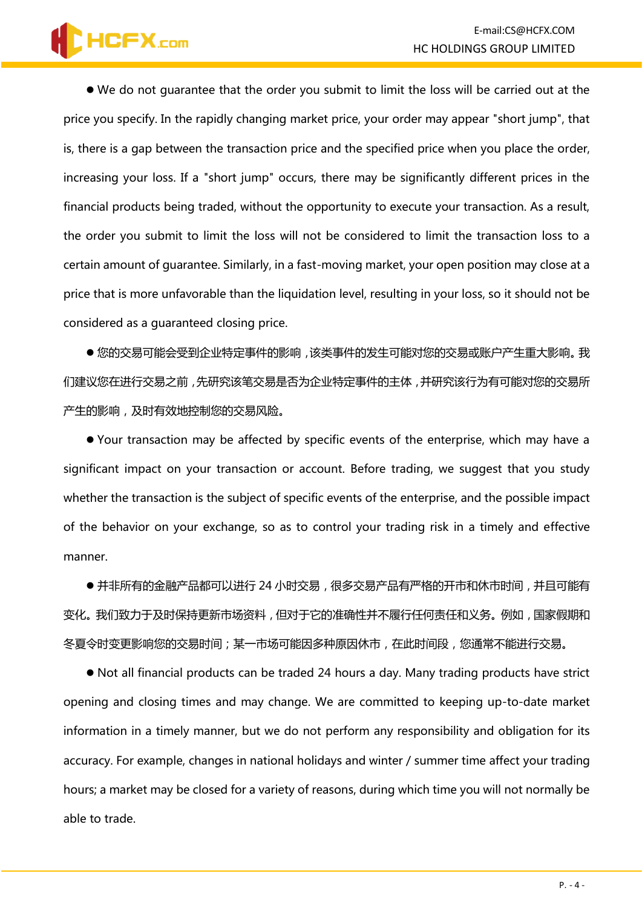# HCFX.com

⚫ We do not guarantee that the order you submit to limit the loss will be carried out at the price you specify. In the rapidly changing market price, your order may appear "short jump", that is, there is a gap between the transaction price and the specified price when you place the order, increasing your loss. If a "short jump" occurs, there may be significantly different prices in the financial products being traded, without the opportunity to execute your transaction. As a result, the order you submit to limit the loss will not be considered to limit the transaction loss to a certain amount of guarantee. Similarly, in a fast-moving market, your open position may close at a price that is more unfavorable than the liquidation level, resulting in your loss, so it should not be considered as a guaranteed closing price.

● 您的交易可能会受到企业特定事件的影响,该类事件的发生可能对您的交易或账户产生重大影响。我 们建议您在进行交易之前,先研究该笔交易是否为企业特定事件的主体,并研究该行为有可能对您的交易所 产生的影响,及时有效地控制您的交易风险。

⚫ Your transaction may be affected by specific events of the enterprise, which may have a significant impact on your transaction or account. Before trading, we suggest that you study whether the transaction is the subject of specific events of the enterprise, and the possible impact of the behavior on your exchange, so as to control your trading risk in a timely and effective manner.

● 并非所有的金融产品都可以进行 24 小时交易, 很多交易产品有严格的开市和休市时间, 并且可能有 变化。我们致力于及时保持更新市场资料,但对于它的准确性并不履行任何责任和义务。例如,国家假期和 冬夏令时变更影响您的交易时间;某一市场可能因多种原因休市,在此时间段,您通常不能进行交易。

⚫ Not all financial products can be traded 24 hours a day. Many trading products have strict opening and closing times and may change. We are committed to keeping up-to-date market information in a timely manner, but we do not perform any responsibility and obligation for its accuracy. For example, changes in national holidays and winter / summer time affect your trading hours; a market may be closed for a variety of reasons, during which time you will not normally be able to trade.